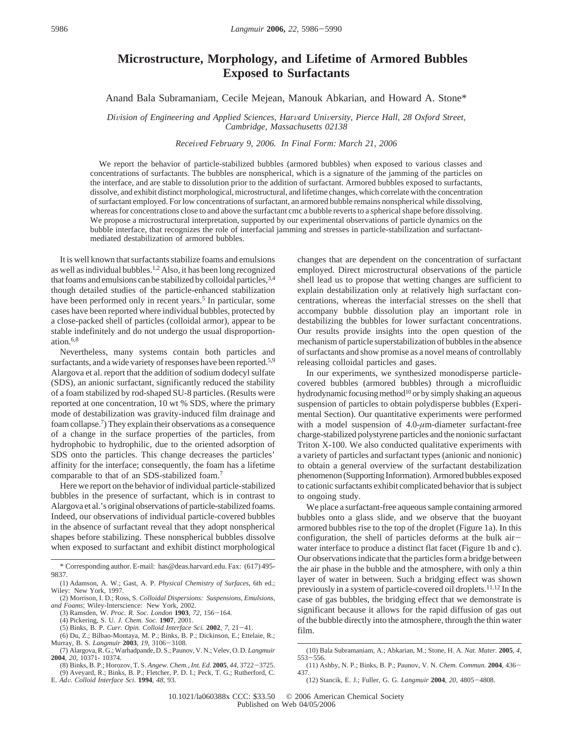## **Microstructure, Morphology, and Lifetime of Armored Bubbles Exposed to Surfactants**

## Anand Bala Subramaniam, Cecile Mejean, Manouk Abkarian, and Howard A. Stone\*

*Division of Engineering and Applied Sciences, Harvard University, Pierce Hall, 28 Oxford Street, Cambridge, Massachusetts 02138*

*Recei*V*ed February 9, 2006. In Final Form: March 21, 2006*

We report the behavior of particle-stabilized bubbles (armored bubbles) when exposed to various classes and concentrations of surfactants. The bubbles are nonspherical, which is a signature of the jamming of the particles on the interface, and are stable to dissolution prior to the addition of surfactant. Armored bubbles exposed to surfactants, dissolve, and exhibit distinct morphological, microstructural, and lifetime changes, which correlate with the concentration of surfactant employed. For low concentrations of surfactant, an armored bubble remains nonspherical while dissolving, whereas for concentrations close to and above the surfactant cmc a bubble reverts to a spherical shape before dissolving. We propose a microstructural interpretation, supported by our experimental observations of particle dynamics on the bubble interface, that recognizes the role of interfacial jamming and stresses in particle-stabilization and surfactantmediated destabilization of armored bubbles.

It is well known that surfactants stabilize foams and emulsions as well as individual bubbles.<sup>1,2</sup> Also, it has been long recognized that foams and emulsions can be stabilized by colloidal particles, 3,4 though detailed studies of the particle-enhanced stabilization have been performed only in recent years.<sup>5</sup> In particular, some cases have been reported where individual bubbles, protected by a close-packed shell of particles (colloidal armor), appear to be stable indefinitely and do not undergo the usual disproportionation.6,8

Nevertheless, many systems contain both particles and surfactants, and a wide variety of responses have been reported.<sup>5,9</sup> Alargova et al. report that the addition of sodium dodecyl sulfate (SDS), an anionic surfactant, significantly reduced the stability of a foam stabilized by rod-shaped SU-8 particles. (Results were reported at one concentration, 10 wt % SDS, where the primary mode of destabilization was gravity-induced film drainage and foam collapse.7) They explain their observations as a consequence of a change in the surface properties of the particles, from hydrophobic to hydrophilic, due to the oriented adsorption of SDS onto the particles. This change decreases the particles' affinity for the interface; consequently, the foam has a lifetime comparable to that of an SDS-stabilized foam.7

Here we report on the behavior of individual particle-stabilized bubbles in the presence of surfactant, which is in contrast to Alargova et al.'s original observations of particle-stabilized foams. Indeed, our observations of individual particle-covered bubbles in the absence of surfactant reveal that they adopt nonspherical shapes before stabilizing. These nonspherical bubbles dissolve when exposed to surfactant and exhibit distinct morphological

(5) Binks, B. P. *Curr. Opin. Colloid Interface Sci.* **<sup>2002</sup>**, *<sup>7</sup>*, 21-41.

(6) Du, Z.; Bilbao-Montaya, M. P.; Binks, B. P.; Dickinson, E.; Ettelaie, R.; Murray, B. S. *Langmuir* **<sup>2003</sup>**, *<sup>19</sup>*, 3106-3108.

E. *Ad*V*. Colloid Interface Sci.* **<sup>1994</sup>**, *<sup>48</sup>*, 93.

changes that are dependent on the concentration of surfactant employed. Direct microstructural observations of the particle shell lead us to propose that wetting changes are sufficient to explain destabilization only at relatively high surfactant concentrations, whereas the interfacial stresses on the shell that accompany bubble dissolution play an important role in destabilizing the bubbles for lower surfactant concentrations. Our results provide insights into the open question of the mechanism of particle superstabilization of bubbles in the absence of surfactants and show promise as a novel means of controllably releasing colloidal particles and gases.

In our experiments, we synthesized monodisperse particlecovered bubbles (armored bubbles) through a microfluidic hydrodynamic focusing method<sup>10</sup> or by simply shaking an aqueous suspension of particles to obtain polydisperse bubbles (Experimental Section). Our quantitative experiments were performed with a model suspension of 4.0- $\mu$ m-diameter surfactant-free charge-stabilized polystyrene particles and the nonionic surfactant Triton X-100. We also conducted qualitative experiments with a variety of particles and surfactant types (anionic and nonionic) to obtain a general overview of the surfactant destabilization phenomenon (Supporting Information). Armored bubbles exposed to cationic surfactants exhibit complicated behavior that is subject to ongoing study.

We place a surfactant-free aqueous sample containing armored bubbles onto a glass slide, and we observe that the buoyant armored bubbles rise to the top of the droplet (Figure 1a). In this configuration, the shell of particles deforms at the bulk airwater interface to produce a distinct flat facet (Figure 1b and c). Our observations indicate that the particles form a bridge between the air phase in the bubble and the atmosphere, with only a thin layer of water in between. Such a bridging effect was shown previously in a system of particle-covered oil droplets.<sup>11,12</sup> In the case of gas bubbles, the bridging effect that we demonstrate is significant because it allows for the rapid diffusion of gas out of the bubble directly into the atmosphere, through the thin water film.

<sup>\*</sup> Corresponding author. E-mail: has@deas.harvard.edu. Fax: (617) 495- 9837.

<sup>(1)</sup> Adamson, A. W.; Gast, A. P. *Physical Chemistry of Surfaces*, 6th ed.; Wiley: New York, 1997.

<sup>(2)</sup> Morrison, I. D.; Ross, S. *Colloidal Dispersions: Suspensions, Emulsions, and Foams*; Wiley-Interscience: New York, 2002.

<sup>(3)</sup> Ramsden, W. *Proc. R. Soc. London* **<sup>1903</sup>**, *<sup>72</sup>*, 156-164.

<sup>(4)</sup> Pickering, S. U. *J. Chem. Soc.* **1907**, 2001.

<sup>(7)</sup> Alargova, R. G.; Warhadpande, D. S.; Paunov, V. N.; Velev, O. D. *Langmuir* **2004**, *20*, 10371- 10374.

<sup>(8)</sup> Binks, B. P.; Horozov, T. S. *Angew. Chem., Int. Ed.* **<sup>2005</sup>**, *<sup>44</sup>*, 3722-3725. (9) Aveyard, R.; Binks, B. P.; Fletcher, P. D. I.; Peck, T. G.; Rutherford, C.

<sup>(10)</sup> Bala Subramaniam, A.; Abkarian, M.; Stone, H. A. *Nat. Mater.* **2005**, *4*,

<sup>553</sup>-556. (11) Ashby, N. P.; Binks, B. P.; Paunov, V. N. *Chem. Commun.* **<sup>2004</sup>**, 436- 437.

<sup>(12)</sup> Stancik, E. J.; Fuller, G. G. *Langmuir* **<sup>2004</sup>**, *<sup>20</sup>*, 4805-4808.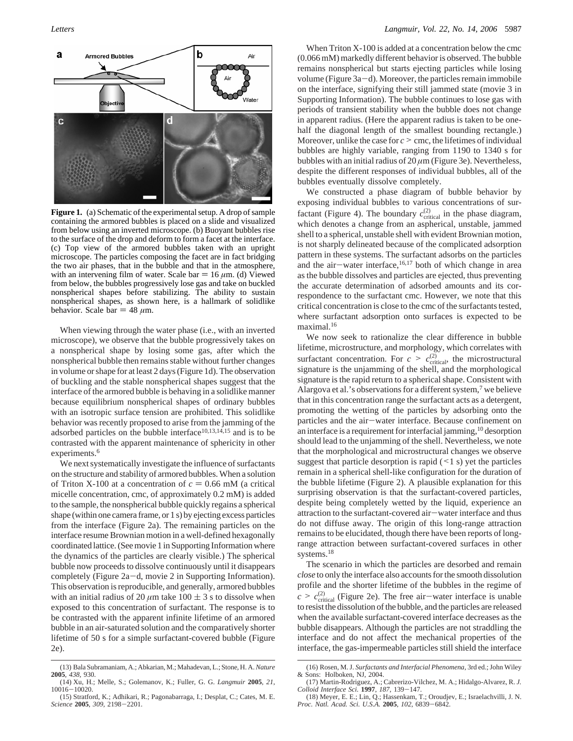

**Figure 1.** (a) Schematic of the experimental setup. A drop of sample containing the armored bubbles is placed on a slide and visualized from below using an inverted microscope. (b) Buoyant bubbles rise to the surface of the drop and deform to form a facet at the interface. (c) Top view of the armored bubbles taken with an upright microscope. The particles composing the facet are in fact bridging the two air phases, that in the bubble and that in the atmosphere, with an intervening film of water. Scale bar  $= 16 \mu m$ . (d) Viewed from below, the bubbles progressively lose gas and take on buckled nonspherical shapes before stabilizing. The ability to sustain nonspherical shapes, as shown here, is a hallmark of solidlike behavior. Scale bar  $=$  48  $\mu$ m.

When viewing through the water phase (i.e., with an inverted microscope), we observe that the bubble progressively takes on a nonspherical shape by losing some gas, after which the nonspherical bubble then remains stable without further changes in volume or shape for at least 2 days (Figure 1d). The observation of buckling and the stable nonspherical shapes suggest that the interface of the armored bubble is behaving in a solidlike manner because equilibrium nonspherical shapes of ordinary bubbles with an isotropic surface tension are prohibited. This solidlike behavior was recently proposed to arise from the jamming of the adsorbed particles on the bubble interface<sup>10,13,14,15</sup> and is to be contrasted with the apparent maintenance of sphericity in other experiments.<sup>6</sup>

We next systematically investigate the influence of surfactants on the structure and stability of armored bubbles. When a solution of Triton X-100 at a concentration of  $c = 0.66$  mM (a critical micelle concentration, cmc, of approximately 0.2 mM) is added to the sample, the nonspherical bubble quickly regains a spherical shape (within one camera frame, or 1 s) by ejecting excess particles from the interface (Figure 2a). The remaining particles on the interface resume Brownian motion in a well-defined hexagonally coordinated lattice. (See movie 1 in Supporting Information where the dynamics of the particles are clearly visible.) The spherical bubble now proceeds to dissolve continuously until it disappears completely (Figure 2a-d, movie 2 in Supporting Information). This observation is reproducible, and generally, armored bubbles with an initial radius of 20  $\mu$ m take 100  $\pm$  3 s to dissolve when exposed to this concentration of surfactant. The response is to be contrasted with the apparent infinite lifetime of an armored bubble in an air-saturated solution and the comparatively shorter lifetime of 50 s for a simple surfactant-covered bubble (Figure 2e).

When Triton X-100 is added at a concentration below the cmc (0.066 mM) markedly different behavior is observed. The bubble remains nonspherical but starts ejecting particles while losing volume (Figure  $3a-d$ ). Moreover, the particles remain immobile on the interface, signifying their still jammed state (movie 3 in Supporting Information). The bubble continues to lose gas with periods of transient stability when the bubble does not change in apparent radius. (Here the apparent radius is taken to be onehalf the diagonal length of the smallest bounding rectangle.) Moreover, unlike the case for  $c >$  cmc, the lifetimes of individual bubbles are highly variable, ranging from 1190 to 1340 s for bubbles with an initial radius of 20 *µ*m (Figure 3e). Nevertheless, despite the different responses of individual bubbles, all of the bubbles eventually dissolve completely.

We constructed a phase diagram of bubble behavior by exposing individual bubbles to various concentrations of surfactant (Figure 4). The boundary  $c_{\text{critical}}^{(2)}$  in the phase diagram, which denotes a change from an aspherical, unstable, jammed shell to a spherical, unstable shell with evident Brownian motion, is not sharply delineated because of the complicated adsorption pattern in these systems. The surfactant adsorbs on the particles and the air-water interface,  $16,17$  both of which change in area as the bubble dissolves and particles are ejected, thus preventing the accurate determination of adsorbed amounts and its correspondence to the surfactant cmc. However, we note that this critical concentration is close to the cmc of the surfactants tested, where surfactant adsorption onto surfaces is expected to be maximal.16

We now seek to rationalize the clear difference in bubble lifetime, microstructure, and morphology, which correlates with surfactant concentration. For  $c > c_{\text{critical}}^{(2)}$ , the microstructural<br>signature is the uniamming of the shell and the morphological signature is the unjamming of the shell, and the morphological signature is the rapid return to a spherical shape. Consistent with Alargova et al.'s observations for a different system,<sup>7</sup> we believe that in this concentration range the surfactant acts as a detergent, promoting the wetting of the particles by adsorbing onto the particles and the air-water interface. Because confinement on an interface is a requirement for interfacial jamming,10 desorption should lead to the unjamming of the shell. Nevertheless, we note that the morphological and microstructural changes we observe suggest that particle desorption is rapid  $($  < 1 s) yet the particles remain in a spherical shell-like configuration for the duration of the bubble lifetime (Figure 2). A plausible explanation for this surprising observation is that the surfactant-covered particles, despite being completely wetted by the liquid, experience an attraction to the surfactant-covered air-water interface and thus do not diffuse away. The origin of this long-range attraction remains to be elucidated, though there have been reports of longrange attraction between surfactant-covered surfaces in other systems.18

The scenario in which the particles are desorbed and remain *close* to only the interface also accounts for the smooth dissolution profile and the shorter lifetime of the bubbles in the regime of  $c > c_{\text{critical}}^{(2)}$  (Figure 2e). The free air—water interface is unable<br>to resist the dissolution of the bubble and the particles are released to resist the dissolution of the bubble, and the particles are released when the available surfactant-covered interface decreases as the bubble disappears. Although the particles are not straddling the interface and do not affect the mechanical properties of the interface, the gas-impermeable particles still shield the interface

<sup>(13)</sup> Bala Subramaniam, A.; Abkarian, M.; Mahadevan, L.; Stone, H. A. *Nature* **2005**, *438*, 930.

<sup>(14)</sup> Xu, H.; Melle, S.; Golemanov, K.; Fuller, G. G. *Langmuir* **2005**, *21*, <sup>10016</sup>-10020.

<sup>(15)</sup> Stratford, K.; Adhikari, R.; Pagonabarraga, I.; Desplat, C.; Cates, M. E. *Science* **<sup>2005</sup>**, *<sup>309</sup>*, 2198-2201.

<sup>(16)</sup> Rosen, M. J. *Surfactants and Interfacial Phenomena*, 3rd ed.; John Wiley & Sons: Holboken, NJ, 2004.

<sup>(17)</sup> Martin-Rodriguez, A.; Cabrerizo-Vilchez, M. A.; Hidalgo-Alvarez, R. *J.*

*Colloid Interface Sci.* **<sup>1997</sup>**, *<sup>187</sup>*, 139-147. (18) Meyer, E. E.; Lin, Q.; Hassenkam, T.; Oroudjev, E.; Israelachvilli, J. N. *Proc. Natl. Acad. Sci. U.S.A.* **<sup>2005</sup>**, *<sup>102</sup>*, 6839-6842.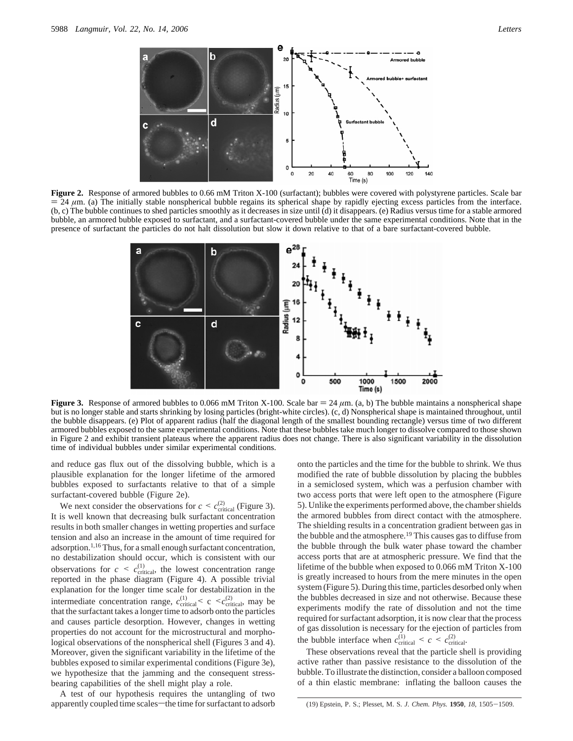

**Figure 2.** Response of armored bubbles to 0.66 mM Triton X-100 (surfactant); bubbles were covered with polystyrene particles. Scale bar  $= 24 \mu m$ . (a) The initially stable nonspherical bubble regains its spherical shape by rapidly ejecting excess particles from the interface. (b, c) The bubble continues to shed particles smoothly as it decreases in size until (d) it disappears. (e) Radius versus time for a stable armored bubble, an armored bubble exposed to surfactant, and a surfactant-covered bubble under the same experimental conditions. Note that in the presence of surfactant the particles do not halt dissolution but slow it down relative to that of a bare surfactant-covered bubble.



**Figure 3.** Response of armored bubbles to 0.066 mM Triton X-100. Scale bar  $= 24 \mu$ m. (a, b) The bubble maintains a nonspherical shape but is no longer stable and starts shrinking by losing particles (bright-white circles). (c, d) Nonspherical shape is maintained throughout, until the bubble disappears. (e) Plot of apparent radius (half the diagonal length of the smallest bounding rectangle) versus time of two different armored bubbles exposed to the same experimental conditions. Note that these bubbles take much longer to dissolve compared to those shown in Figure 2 and exhibit transient plateaus where the apparent radius does not change. There is also significant variability in the dissolution time of individual bubbles under similar experimental conditions.

and reduce gas flux out of the dissolving bubble, which is a plausible explanation for the longer lifetime of the armored bubbles exposed to surfactants relative to that of a simple surfactant-covered bubble (Figure 2e).

We next consider the observations for  $c < c_{\text{critical}}^{(2)}$  (Figure 3). It is well known that decreasing bulk surfactant concentration results in both smaller changes in wetting properties and surface tension and also an increase in the amount of time required for adsorption.1,16 Thus, for a small enough surfactant concentration, no destabilization should occur, which is consistent with our observations for  $c \leq c_{\text{critical}}^{(1)}$ , the lowest concentration range<br>reported in the phase diagram (Figure 4) A possible trivial reported in the phase diagram (Figure 4). A possible trivial explanation for the longer time scale for destabilization in the intermediate concentration range,  $c_{\text{critical}}^{(1)} < c < c_{\text{critical}}^{(2)}$ , may be that the surfactant takes a longer time to adsorb onto the particles that the surfactant takes a longer time to adsorb onto the particles and causes particle desorption. However, changes in wetting properties do not account for the microstructural and morphological observations of the nonspherical shell (Figures 3 and 4). Moreover, given the significant variability in the lifetime of the bubbles exposed to similar experimental conditions (Figure 3e), we hypothesize that the jamming and the consequent stressbearing capabilities of the shell might play a role.

A test of our hypothesis requires the untangling of two apparently coupled time scales-the time for surfactant to adsorb

onto the particles and the time for the bubble to shrink. We thus modified the rate of bubble dissolution by placing the bubbles in a semiclosed system, which was a perfusion chamber with two access ports that were left open to the atmosphere (Figure 5). Unlike the experiments performed above, the chamber shields the armored bubbles from direct contact with the atmosphere. The shielding results in a concentration gradient between gas in the bubble and the atmosphere.<sup>19</sup> This causes gas to diffuse from the bubble through the bulk water phase toward the chamber access ports that are at atmospheric pressure. We find that the lifetime of the bubble when exposed to 0.066 mM Triton X-100 is greatly increased to hours from the mere minutes in the open system (Figure 5). During this time, particles desorbed only when the bubbles decreased in size and not otherwise. Because these experiments modify the rate of dissolution and not the time required for surfactant adsorption, it is now clear that the process of gas dissolution is necessary for the ejection of particles from the bubble interface when  $c_{\text{critical}}^{(1)} < c < c_{\text{critical}}^{(2)}$ .<br>These observations reveal that the portiols ob

These observations reveal that the particle shell is providing active rather than passive resistance to the dissolution of the bubble. To illustrate the distinction, consider a balloon composed of a thin elastic membrane: inflating the balloon causes the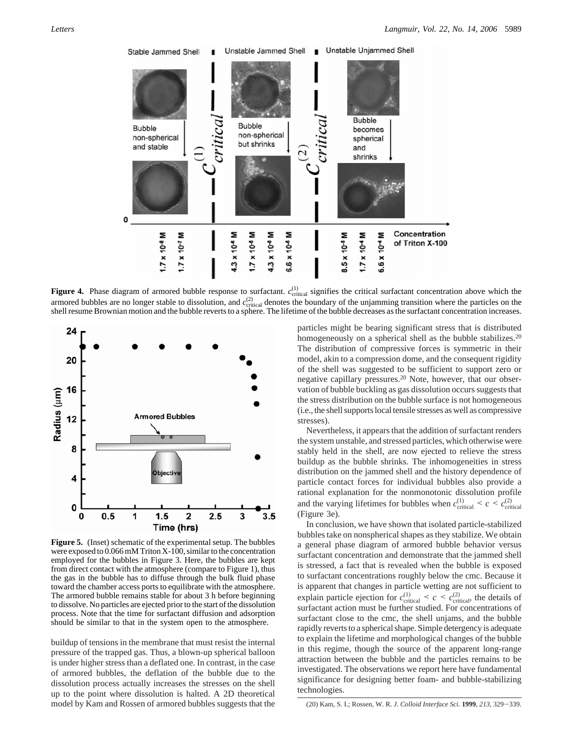

**Figure 4.** Phase diagram of armored bubble response to surfactant.  $c_{\text{critical}}^{(1)}$  signifies the critical surfactant concentration above which the armored bubbles are no longer stable to dissolution, and  $c_{\text{critical}}^{(2)}$  denotes the boundary of the unjamming transition where the particles on the shell resume Brownian motion and the bubble reverts to a sphere. The lifetime of the bubble decreases as the surfactant concentration increases.



**Figure 5.** (Inset) schematic of the experimental setup. The bubbles were exposed to 0.066 mM Triton X-100, similar to the concentration employed for the bubbles in Figure 3. Here, the bubbles are kept from direct contact with the atmosphere (compare to Figure 1), thus the gas in the bubble has to diffuse through the bulk fluid phase toward the chamber access ports to equilibrate with the atmosphere. The armored bubble remains stable for about 3 h before beginning to dissolve. No particles are ejected prior to the start of the dissolution process. Note that the time for surfactant diffusion and adsorption should be similar to that in the system open to the atmosphere.

buildup of tensions in the membrane that must resist the internal pressure of the trapped gas. Thus, a blown-up spherical balloon is under higher stress than a deflated one. In contrast, in the case of armored bubbles, the deflation of the bubble due to the dissolution process actually increases the stresses on the shell up to the point where dissolution is halted. A 2D theoretical model by Kam and Rossen of armored bubbles suggests that the particles might be bearing significant stress that is distributed homogeneously on a spherical shell as the bubble stabilizes.<sup>20</sup> The distribution of compressive forces is symmetric in their model, akin to a compression dome, and the consequent rigidity of the shell was suggested to be sufficient to support zero or negative capillary pressures.20 Note, however, that our observation of bubble buckling as gas dissolution occurs suggests that the stress distribution on the bubble surface is not homogeneous (i.e., the shell supports local tensile stresses as well as compressive stresses).

Nevertheless, it appears that the addition of surfactant renders the system unstable, and stressed particles, which otherwise were stably held in the shell, are now ejected to relieve the stress buildup as the bubble shrinks. The inhomogeneities in stress distribution on the jammed shell and the history dependence of particle contact forces for individual bubbles also provide a rational explanation for the nonmonotonic dissolution profile and the varying lifetimes for bubbles when  $c_{\text{critical}}^{(1)} < c < c_{\text{critical}}^{(2)}$ <br>(Figure 3e) (Figure 3e).

In conclusion, we have shown that isolated particle-stabilized bubbles take on nonspherical shapes as they stabilize. We obtain a general phase diagram of armored bubble behavior versus surfactant concentration and demonstrate that the jammed shell is stressed, a fact that is revealed when the bubble is exposed to surfactant concentrations roughly below the cmc. Because it is apparent that changes in particle wetting are not sufficient to explain particle ejection for  $c_{\text{critical}}^{(1)} \leq c \leq c_{\text{critical}}^{(2)}$ , the details of surfactant action must be further studied. For concentrations of surfactant action must be further studied. For concentrations of surfactant close to the cmc, the shell unjams, and the bubble rapidly reverts to a spherical shape. Simple detergency is adequate to explain the lifetime and morphological changes of the bubble in this regime, though the source of the apparent long-range attraction between the bubble and the particles remains to be investigated. The observations we report here have fundamental significance for designing better foam- and bubble-stabilizing technologies.

(20) Kam, S. I.; Rossen, W. R. *J. Colloid Interface Sci.* **<sup>1999</sup>**, *<sup>213</sup>*, 329-339.